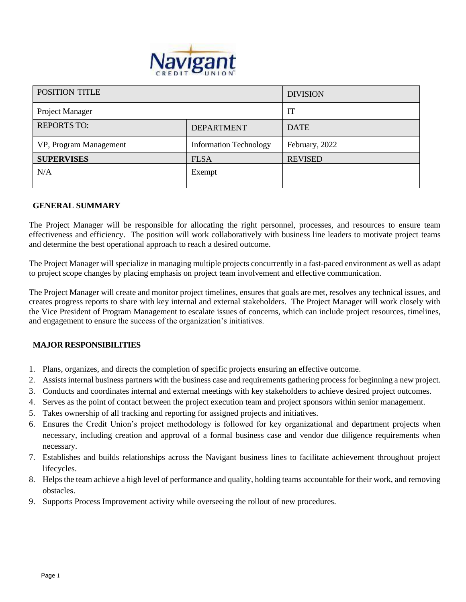

| <b>POSITION TITLE</b>  |                               | <b>DIVISION</b> |
|------------------------|-------------------------------|-----------------|
| <b>Project Manager</b> |                               | IT              |
| <b>REPORTS TO:</b>     | <b>DEPARTMENT</b>             | <b>DATE</b>     |
| VP, Program Management | <b>Information Technology</b> | February, 2022  |
| <b>SUPERVISES</b>      | <b>FLSA</b>                   | <b>REVISED</b>  |
| N/A                    | Exempt                        |                 |

#### **GENERAL SUMMARY**

The Project Manager will be responsible for allocating the right personnel, processes, and resources to ensure team effectiveness and efficiency. The position will work collaboratively with business line leaders to motivate project teams and determine the best operational approach to reach a desired outcome.

The Project Manager will specialize in managing multiple projects concurrently in a fast-paced environment as well as adapt to project scope changes by placing emphasis on project team involvement and effective communication.

The Project Manager will create and monitor project timelines, ensures that goals are met, resolves any technical issues, and creates progress reports to share with key internal and external stakeholders. The Project Manager will work closely with the Vice President of Program Management to escalate issues of concerns, which can include project resources, timelines, and engagement to ensure the success of the organization's initiatives.

### **MAJOR RESPONSIBILITIES**

- 1. Plans, organizes, and directs the completion of specific projects ensuring an effective outcome.
- 2. Assists internal business partners with the business case and requirements gathering process for beginning a new project.
- 3. Conducts and coordinates internal and external meetings with key stakeholders to achieve desired project outcomes.
- 4. Serves as the point of contact between the project execution team and project sponsors within senior management.
- 5. Takes ownership of all tracking and reporting for assigned projects and initiatives.
- 6. Ensures the Credit Union's project methodology is followed for key organizational and department projects when necessary, including creation and approval of a formal business case and vendor due diligence requirements when necessary.
- 7. Establishes and builds relationships across the Navigant business lines to facilitate achievement throughout project lifecycles.
- 8. Helps the team achieve a high level of performance and quality, holding teams accountable for their work, and removing obstacles.
- 9. Supports Process Improvement activity while overseeing the rollout of new procedures.